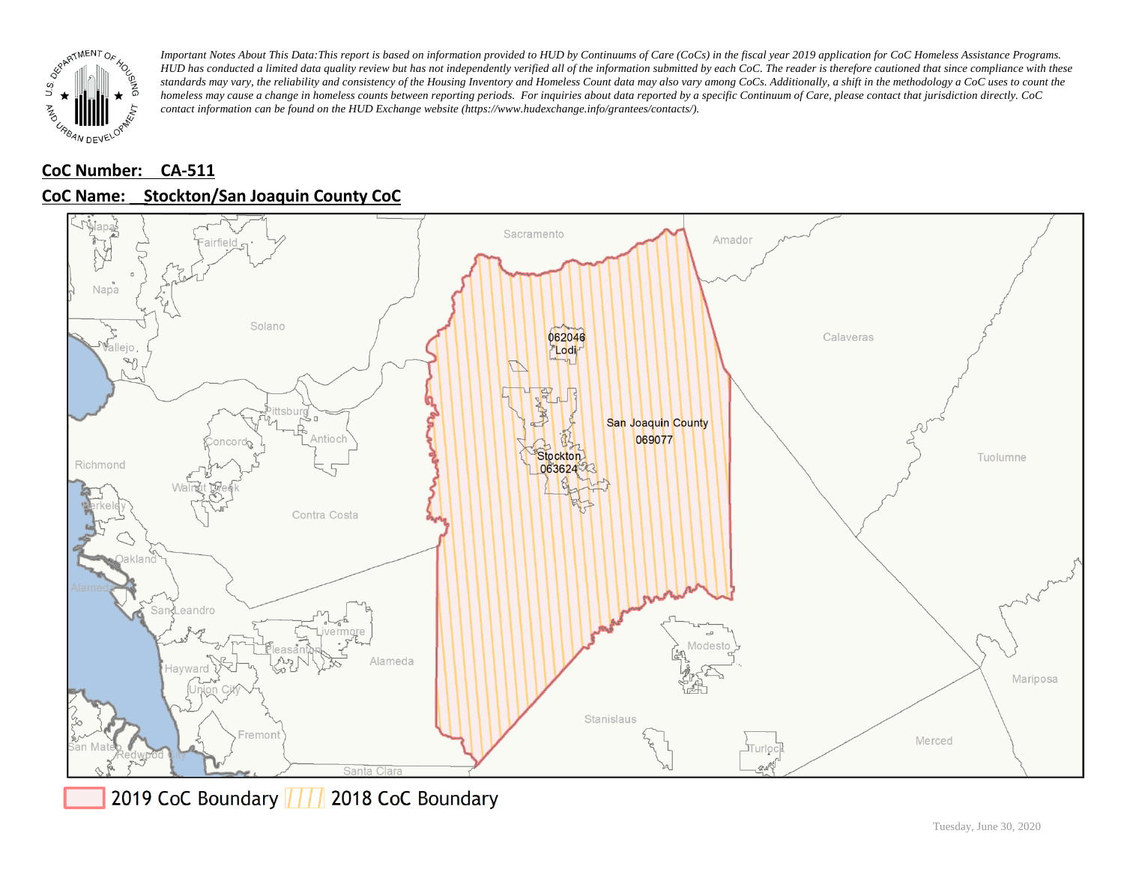

# **CoC Number: CA-511 CoC Name: \_\_ Stockton/San Joaquin County CoC**



2019 CoC Boundary 777 2018 CoC Boundary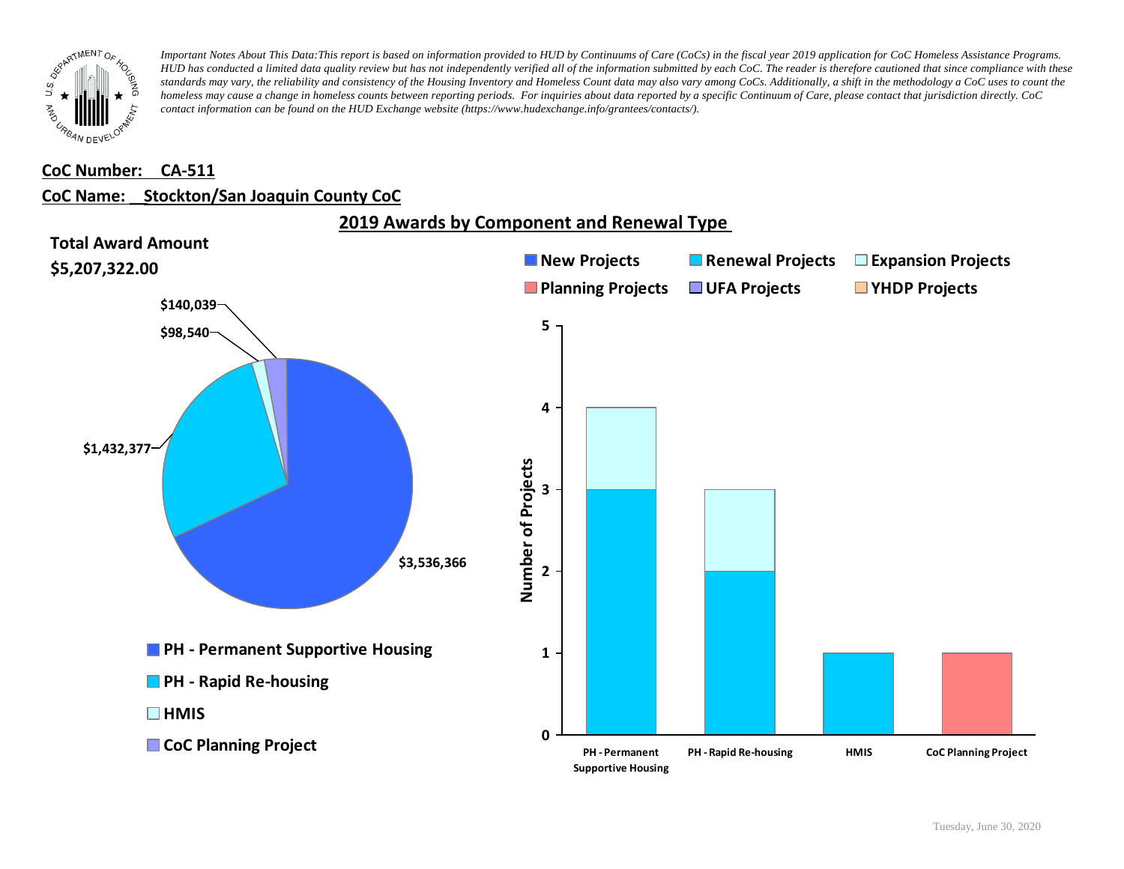

### **CoC Number: CA-511**

### **CoC Name: \_\_ Stockton/San Joaquin County CoC**

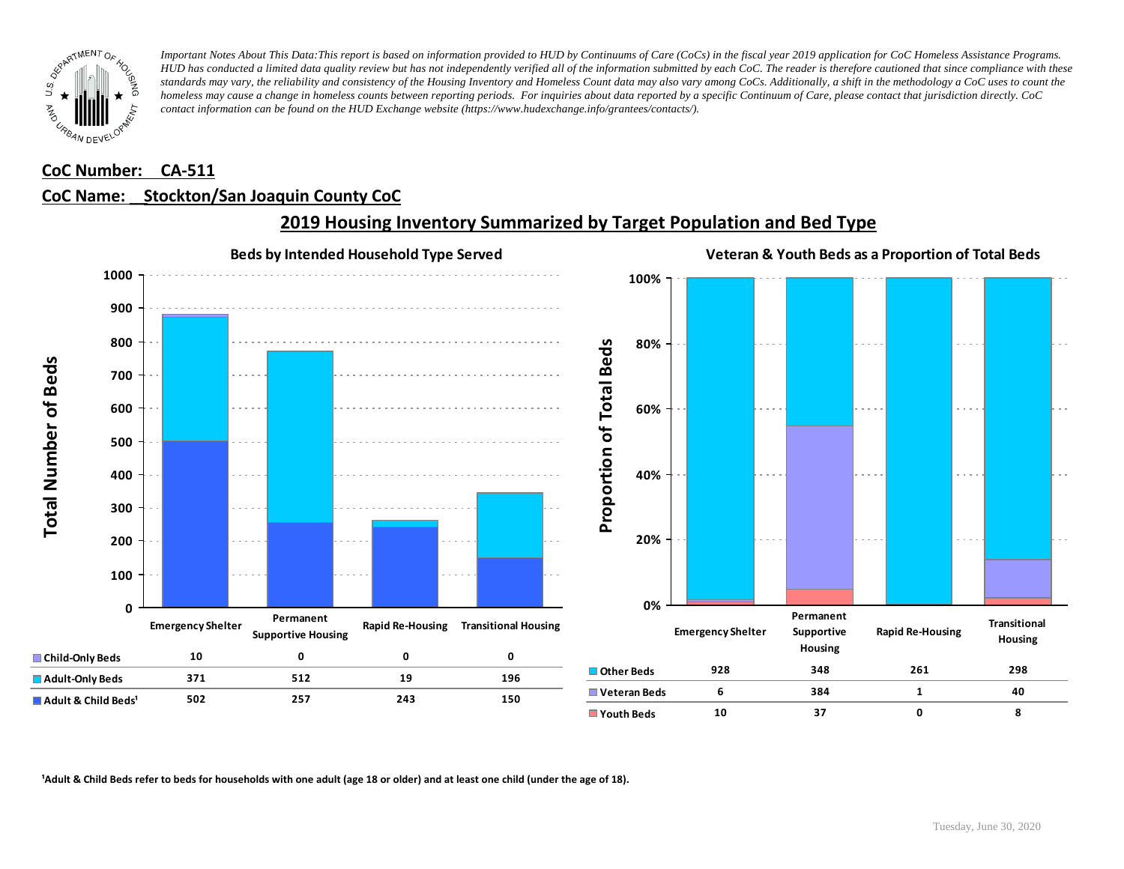

### **CoC Number: CA-511**

## **CoC Name: \_\_ Stockton/San Joaquin County CoC**



## **2019 Housing Inventory Summarized by Target Population and Bed Type**

<sup>1</sup> Adult & Child Beds refer to beds for households with one adult (age 18 or older) and at least one child (under the age of 18).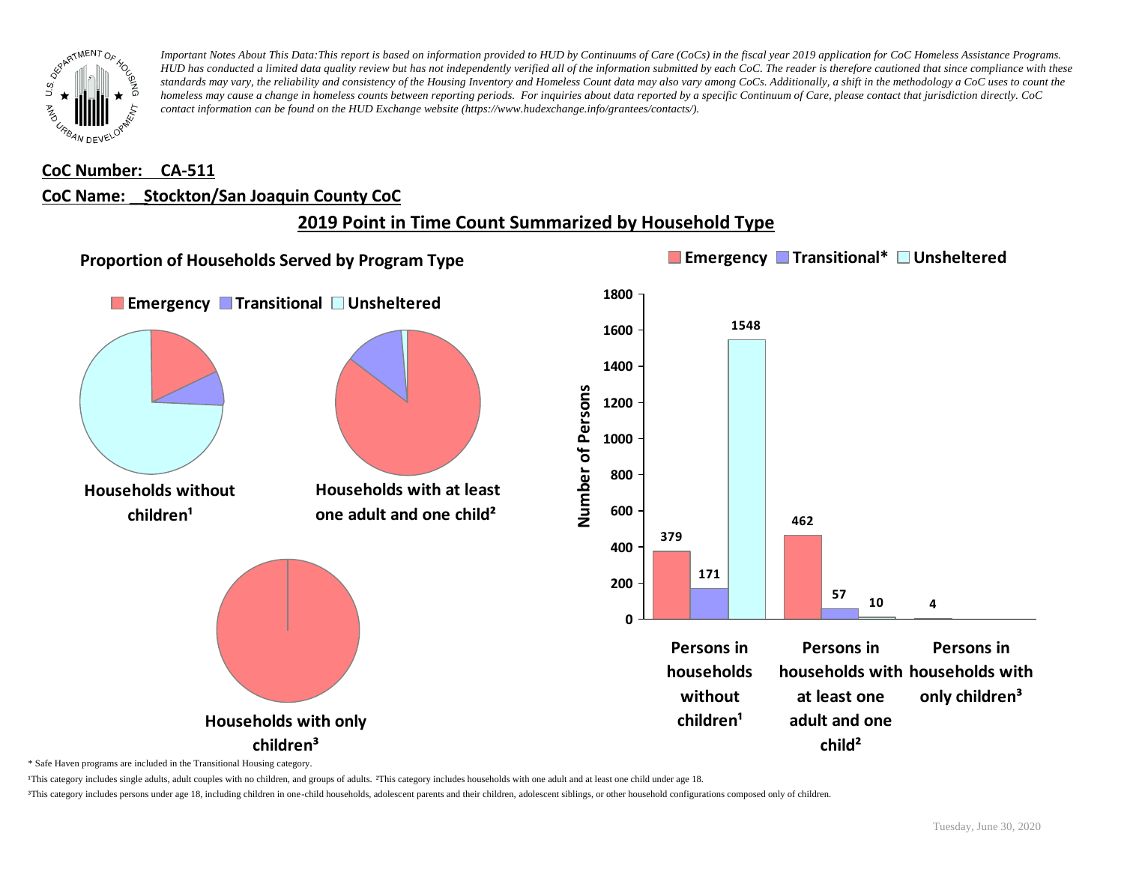

#### **CoC Number: CA-511**

#### **CoC Name: \_\_ Stockton/San Joaquin County CoC**

## **2019 Point in Time Count Summarized by Household Type**



\* Safe Haven programs are included in the Transitional Housing category.

¹This category includes single adults, adult couples with no children, and groups of adults. ²This category includes households with one adult and at least one child under age 18.

³This category includes persons under age 18, including children in one-child households, adolescent parents and their children, adolescent siblings, or other household configurations composed only of children.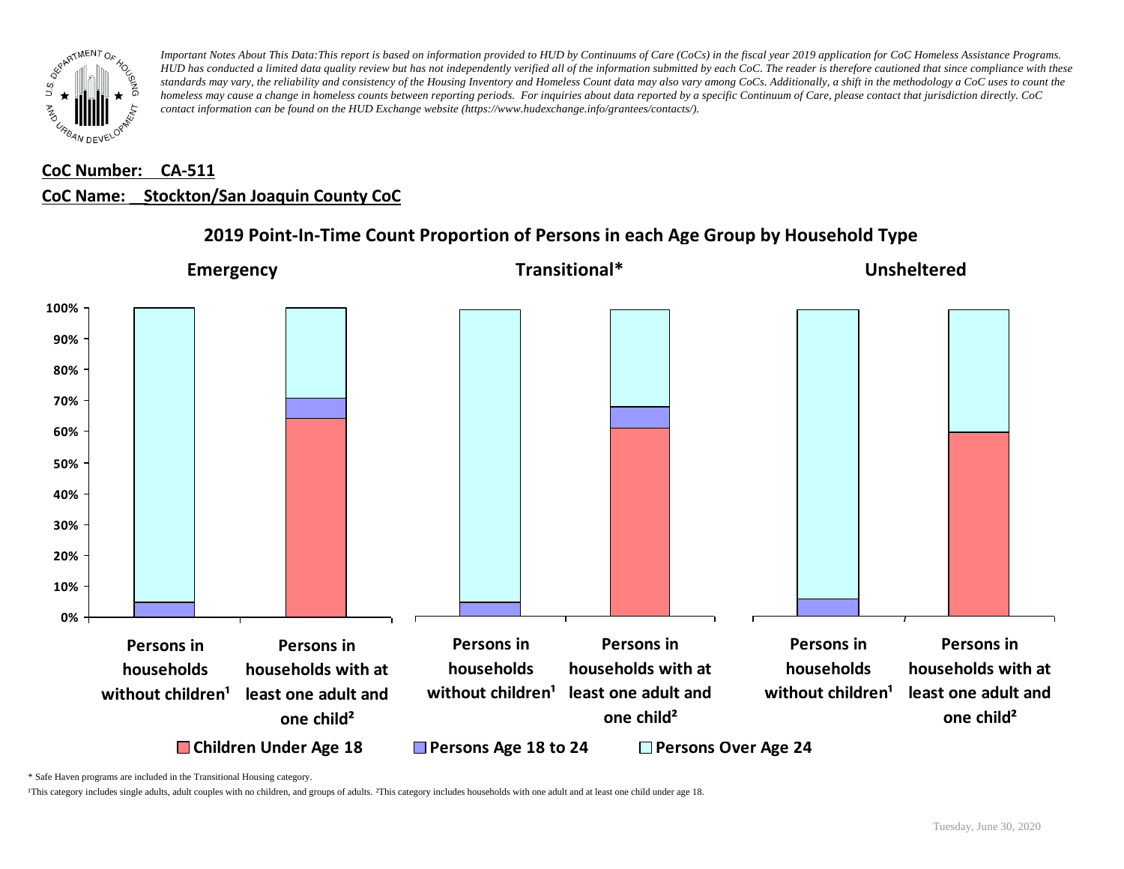

## **CoC Number: CA-511 CoC Name: \_\_ Stockton/San Joaquin County CoC**



## **2019 Point-In-Time Count Proportion of Persons in each Age Group by Household Type**

\* Safe Haven programs are included in the Transitional Housing category.

¹This category includes single adults, adult couples with no children, and groups of adults. ²This category includes households with one adult and at least one child under age 18.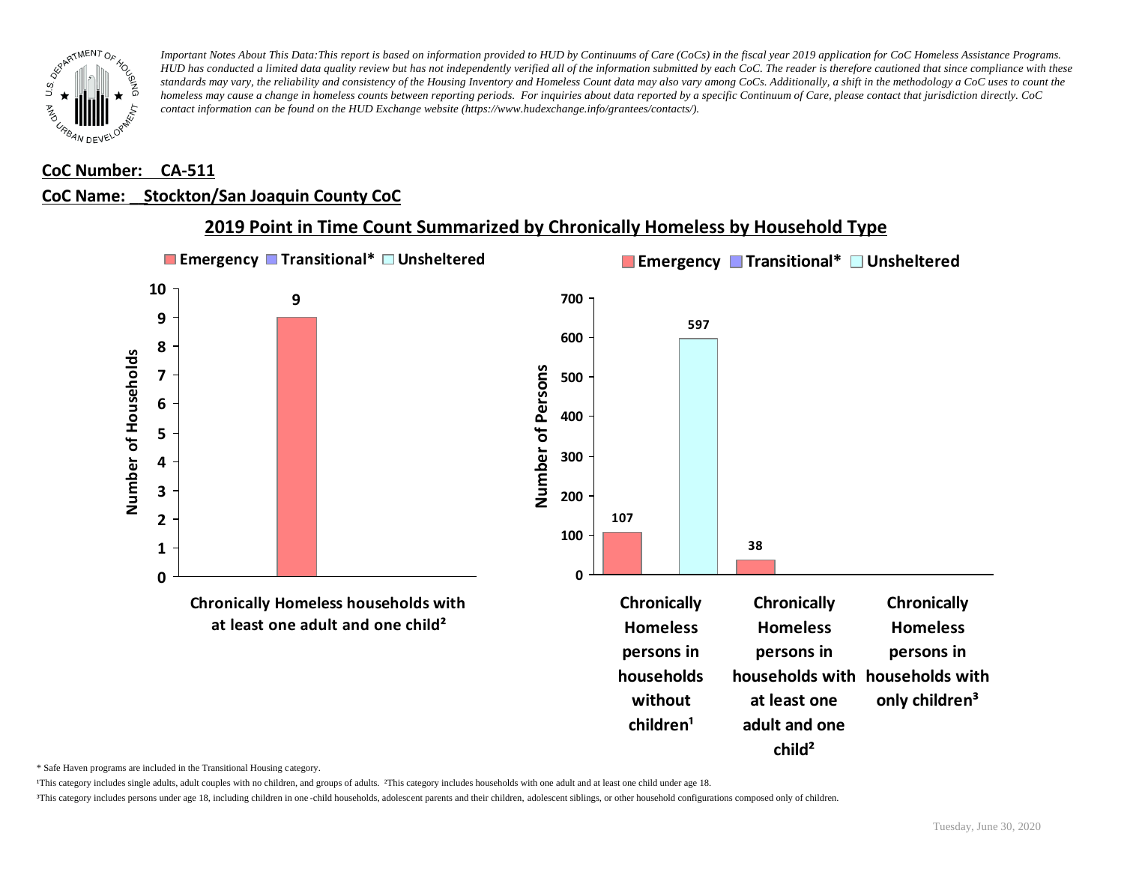

### **CoC Number: CA-511**

#### **CoC Name: \_\_ Stockton/San Joaquin County CoC**



**2019 Point in Time Count Summarized by Chronically Homeless by Household Type**

\* Safe Haven programs are included in the Transitional Housing category.

¹This category includes single adults, adult couples with no children, and groups of adults. ²This category includes households with one adult and at least one child under age 18.

³This category includes persons under age 18, including children in one -child households, adolescent parents and their children, adolescent siblings, or other household configurations composed only of children.